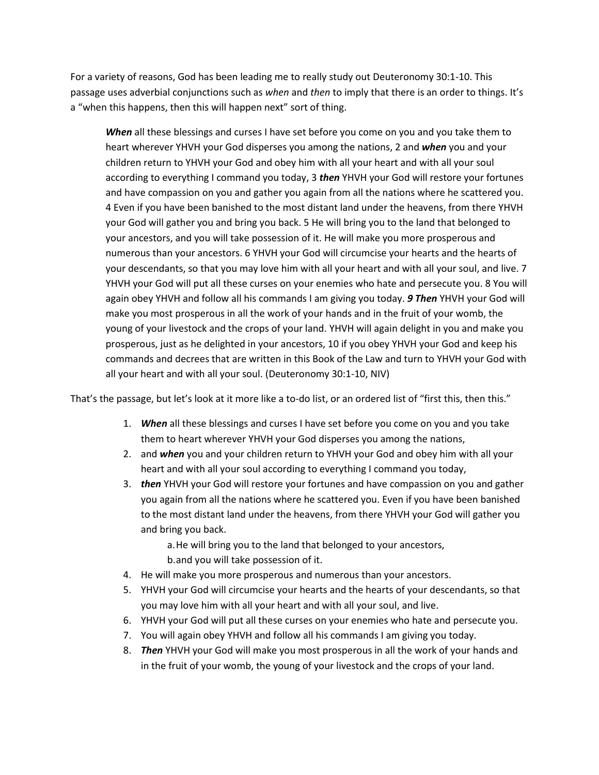For a variety of reasons, God has been leading me to really study out Deuteronomy 30:1-10. This passage uses adverbial conjunctions such as *when* and *then* to imply that there is an order to things. It's a "when this happens, then this will happen next" sort of thing.

*When* all these blessings and curses I have set before you come on you and you take them to heart wherever YHVH your God disperses you among the nations, 2 and *when* you and your children return to YHVH your God and obey him with all your heart and with all your soul according to everything I command you today, 3 *then* YHVH your God will restore your fortunes and have compassion on you and gather you again from all the nations where he scattered you. 4 Even if you have been banished to the most distant land under the heavens, from there YHVH your God will gather you and bring you back. 5 He will bring you to the land that belonged to your ancestors, and you will take possession of it. He will make you more prosperous and numerous than your ancestors. 6 YHVH your God will circumcise your hearts and the hearts of your descendants, so that you may love him with all your heart and with all your soul, and live. 7 YHVH your God will put all these curses on your enemies who hate and persecute you. 8 You will again obey YHVH and follow all his commands I am giving you today. *9 Then* YHVH your God will make you most prosperous in all the work of your hands and in the fruit of your womb, the young of your livestock and the crops of your land. YHVH will again delight in you and make you prosperous, just as he delighted in your ancestors, 10 if you obey YHVH your God and keep his commands and decrees that are written in this Book of the Law and turn to YHVH your God with all your heart and with all your soul. (Deuteronomy 30:1-10, NIV)

That's the passage, but let's look at it more like a to-do list, or an ordered list of "first this, then this."

- 1. *When* all these blessings and curses I have set before you come on you and you take them to heart wherever YHVH your God disperses you among the nations,
- 2. and *when* you and your children return to YHVH your God and obey him with all your heart and with all your soul according to everything I command you today,
- 3. *then* YHVH your God will restore your fortunes and have compassion on you and gather you again from all the nations where he scattered you. Even if you have been banished to the most distant land under the heavens, from there YHVH your God will gather you and bring you back.

a.He will bring you to the land that belonged to your ancestors, b.and you will take possession of it.

- 4. He will make you more prosperous and numerous than your ancestors.
- 5. YHVH your God will circumcise your hearts and the hearts of your descendants, so that you may love him with all your heart and with all your soul, and live.
- 6. YHVH your God will put all these curses on your enemies who hate and persecute you.
- 7. You will again obey YHVH and follow all his commands I am giving you today.
- 8. *Then* YHVH your God will make you most prosperous in all the work of your hands and in the fruit of your womb, the young of your livestock and the crops of your land.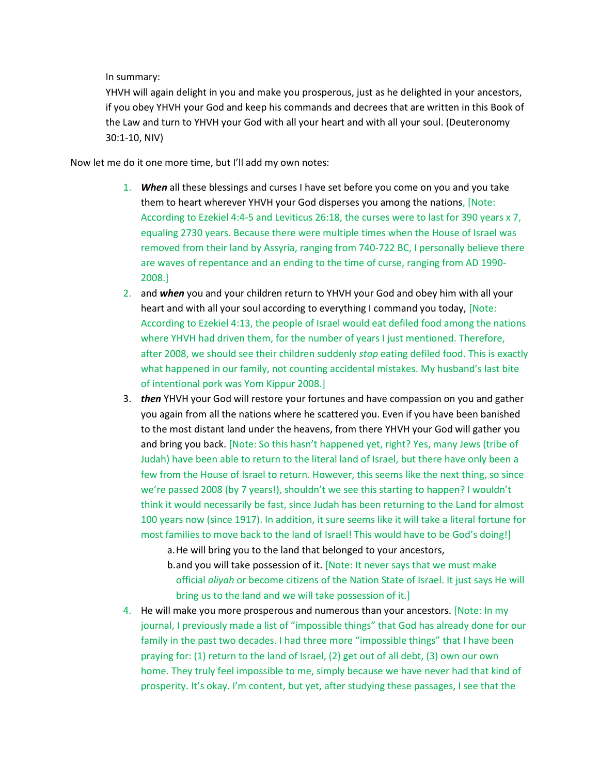In summary:

YHVH will again delight in you and make you prosperous, just as he delighted in your ancestors, if you obey YHVH your God and keep his commands and decrees that are written in this Book of the Law and turn to YHVH your God with all your heart and with all your soul. (Deuteronomy 30:1-10, NIV)

Now let me do it one more time, but I'll add my own notes:

- 1. *When* all these blessings and curses I have set before you come on you and you take them to heart wherever YHVH your God disperses you among the nations, [Note: According to Ezekiel 4:4-5 and Leviticus 26:18, the curses were to last for 390 years x 7, equaling 2730 years. Because there were multiple times when the House of Israel was removed from their land by Assyria, ranging from 740-722 BC, I personally believe there are waves of repentance and an ending to the time of curse, ranging from AD 1990- 2008.]
- 2. and *when* you and your children return to YHVH your God and obey him with all your heart and with all your soul according to everything I command you today, [Note: According to Ezekiel 4:13, the people of Israel would eat defiled food among the nations where YHVH had driven them, for the number of years I just mentioned. Therefore, after 2008, we should see their children suddenly *stop* eating defiled food. This is exactly what happened in our family, not counting accidental mistakes. My husband's last bite of intentional pork was Yom Kippur 2008.]
- 3. *then* YHVH your God will restore your fortunes and have compassion on you and gather you again from all the nations where he scattered you. Even if you have been banished to the most distant land under the heavens, from there YHVH your God will gather you and bring you back. [Note: So this hasn't happened yet, right? Yes, many Jews (tribe of Judah) have been able to return to the literal land of Israel, but there have only been a few from the House of Israel to return. However, this seems like the next thing, so since we're passed 2008 (by 7 years!), shouldn't we see this starting to happen? I wouldn't think it would necessarily be fast, since Judah has been returning to the Land for almost 100 years now (since 1917). In addition, it sure seems like it will take a literal fortune for most families to move back to the land of Israel! This would have to be God's doing!] a.He will bring you to the land that belonged to your ancestors,

b.and you will take possession of it. [Note: It never says that we must make official *aliyah* or become citizens of the Nation State of Israel. It just says He will bring us to the land and we will take possession of it.]

4. He will make you more prosperous and numerous than your ancestors. [Note: In my journal, I previously made a list of "impossible things" that God has already done for our family in the past two decades. I had three more "impossible things" that I have been praying for: (1) return to the land of Israel, (2) get out of all debt, (3) own our own home. They truly feel impossible to me, simply because we have never had that kind of prosperity. It's okay. I'm content, but yet, after studying these passages, I see that the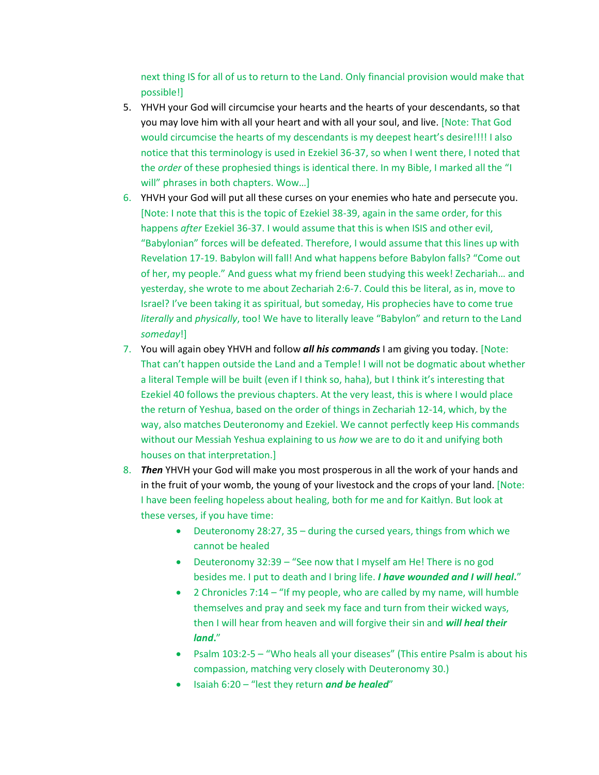next thing IS for all of us to return to the Land. Only financial provision would make that possible!]

- 5. YHVH your God will circumcise your hearts and the hearts of your descendants, so that you may love him with all your heart and with all your soul, and live. [Note: That God would circumcise the hearts of my descendants is my deepest heart's desire!!!! I also notice that this terminology is used in Ezekiel 36-37, so when I went there, I noted that the *order* of these prophesied things is identical there. In my Bible, I marked all the "I will" phrases in both chapters. Wow...]
- 6. YHVH your God will put all these curses on your enemies who hate and persecute you. [Note: I note that this is the topic of Ezekiel 38-39, again in the same order, for this happens *after* Ezekiel 36-37. I would assume that this is when ISIS and other evil, "Babylonian" forces will be defeated. Therefore, I would assume that this lines up with Revelation 17-19. Babylon will fall! And what happens before Babylon falls? "Come out of her, my people." And guess what my friend been studying this week! Zechariah… and yesterday, she wrote to me about Zechariah 2:6-7. Could this be literal, as in, move to Israel? I've been taking it as spiritual, but someday, His prophecies have to come true *literally* and *physically*, too! We have to literally leave "Babylon" and return to the Land *someday*!]
- 7. You will again obey YHVH and follow *all his commands* I am giving you today. [Note: That can't happen outside the Land and a Temple! I will not be dogmatic about whether a literal Temple will be built (even if I think so, haha), but I think it's interesting that Ezekiel 40 follows the previous chapters. At the very least, this is where I would place the return of Yeshua, based on the order of things in Zechariah 12-14, which, by the way, also matches Deuteronomy and Ezekiel. We cannot perfectly keep His commands without our Messiah Yeshua explaining to us *how* we are to do it and unifying both houses on that interpretation.]
- 8. *Then* YHVH your God will make you most prosperous in all the work of your hands and in the fruit of your womb, the young of your livestock and the crops of your land. [Note: I have been feeling hopeless about healing, both for me and for Kaitlyn. But look at these verses, if you have time:
	- Deuteronomy 28:27, 35 during the cursed years, things from which we cannot be healed
	- Deuteronomy 32:39 "See now that I myself am He! There is no god besides me. I put to death and I bring life. *I have wounded and I will heal***.**"
	- 2 Chronicles 7:14 "If my people, who are called by my name, will humble themselves and pray and seek my face and turn from their wicked ways, then I will hear from heaven and will forgive their sin and *will heal their land***.**"
	- Psalm 103:2-5 "Who heals all your diseases" (This entire Psalm is about his compassion, matching very closely with Deuteronomy 30.)
	- Isaiah 6:20 "lest they return *and be healed*"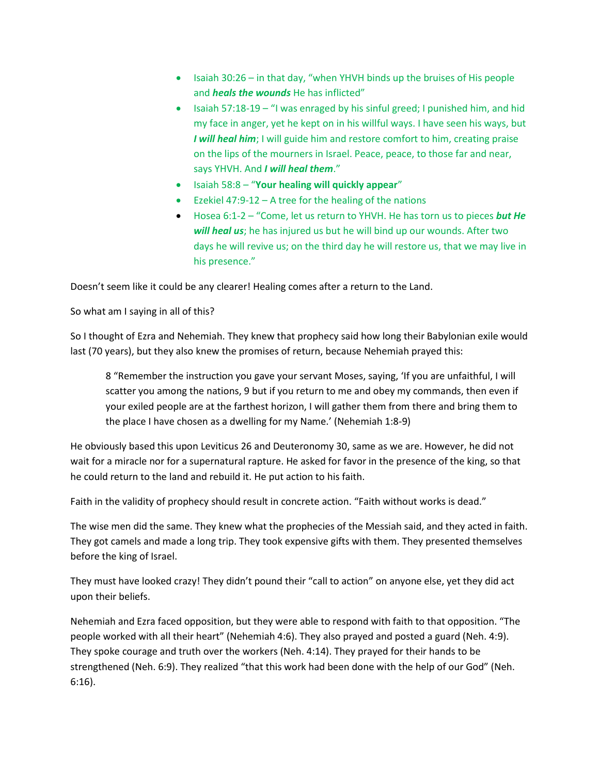- Isaiah 30:26 in that day, "when YHVH binds up the bruises of His people and *heals the wounds* He has inflicted"
- **•** Isaiah 57:18-19 "I was enraged by his sinful greed; I punished him, and hid my face in anger, yet he kept on in his willful ways. I have seen his ways, but *I* will heal him; I will guide him and restore comfort to him, creating praise on the lips of the mourners in Israel. Peace, peace, to those far and near, says YHVH. And *I will heal them*."
- Isaiah 58:8 "**Your healing will quickly appear**"
- Ezekiel 47:9-12 A tree for the healing of the nations
- Hosea 6:1-2 "Come, let us return to YHVH. He has torn us to pieces *but He will heal us*; he has injured us but he will bind up our wounds. After two days he will revive us; on the third day he will restore us, that we may live in his presence."

Doesn't seem like it could be any clearer! Healing comes after a return to the Land.

So what am I saying in all of this?

So I thought of Ezra and Nehemiah. They knew that prophecy said how long their Babylonian exile would last (70 years), but they also knew the promises of return, because Nehemiah prayed this:

8 "Remember the instruction you gave your servant Moses, saying, 'If you are unfaithful, I will scatter you among the nations, 9 but if you return to me and obey my commands, then even if your exiled people are at the farthest horizon, I will gather them from there and bring them to the place I have chosen as a dwelling for my Name.' (Nehemiah 1:8-9)

He obviously based this upon Leviticus 26 and Deuteronomy 30, same as we are. However, he did not wait for a miracle nor for a supernatural rapture. He asked for favor in the presence of the king, so that he could return to the land and rebuild it. He put action to his faith.

Faith in the validity of prophecy should result in concrete action. "Faith without works is dead."

The wise men did the same. They knew what the prophecies of the Messiah said, and they acted in faith. They got camels and made a long trip. They took expensive gifts with them. They presented themselves before the king of Israel.

They must have looked crazy! They didn't pound their "call to action" on anyone else, yet they did act upon their beliefs.

Nehemiah and Ezra faced opposition, but they were able to respond with faith to that opposition. "The people worked with all their heart" (Nehemiah 4:6). They also prayed and posted a guard (Neh. 4:9). They spoke courage and truth over the workers (Neh. 4:14). They prayed for their hands to be strengthened (Neh. 6:9). They realized "that this work had been done with the help of our God" (Neh. 6:16).